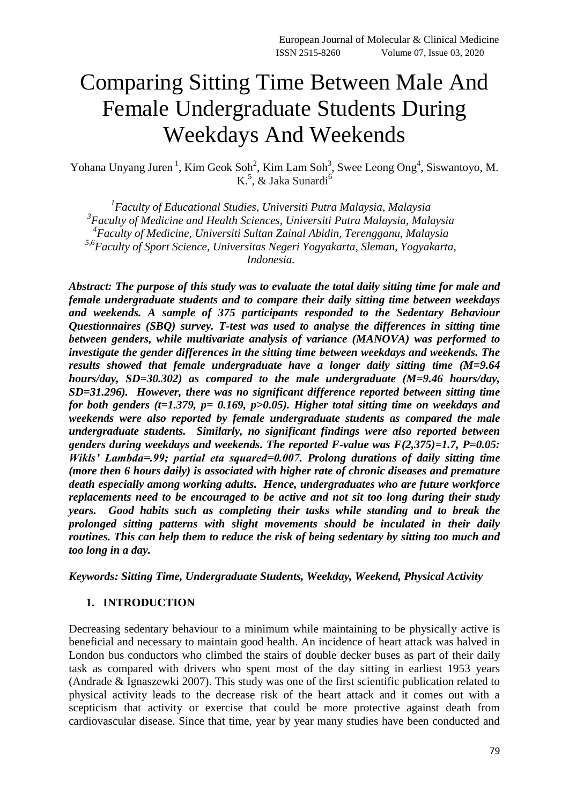# Comparing Sitting Time Between Male And Female Undergraduate Students During Weekdays And Weekends

Yohana Unyang Juren<sup>1</sup>, Kim Geok Soh<sup>2</sup>, Kim Lam Soh<sup>3</sup>, Swee Leong Ong<sup>4</sup>, Siswantoyo, M. K.<sup>5</sup>, & Jaka Sunardi<sup>6</sup>

*1 Faculty of Educational Studies, Universiti Putra Malaysia, Malaysia 3 Faculty of Medicine and Health Sciences, Universiti Putra Malaysia, Malaysia 4 Faculty of Medicine, Universiti Sultan Zainal Abidin, Terengganu, Malaysia 5,6Faculty of Sport Science, Universitas Negeri Yogyakarta, Sleman, Yogyakarta, Indonesia.*

*Abstract: The purpose of this study was to evaluate the total daily sitting time for male and female undergraduate students and to compare their daily sitting time between weekdays and weekends. A sample of 375 participants responded to the Sedentary Behaviour Questionnaires (SBQ) survey. T-test was used to analyse the differences in sitting time between genders, while multivariate analysis of variance (MANOVA) was performed to investigate the gender differences in the sitting time between weekdays and weekends. The results showed that female undergraduate have a longer daily sitting time (M=9.64 hours/day, SD=30.302) as compared to the male undergraduate (M=9.46 hours/day, SD=31.296). However, there was no significant difference reported between sitting time for both genders (t=1.379, p= 0.169, p>0.05). Higher total sitting time on weekdays and weekends were also reported by female undergraduate students as compared the male undergraduate students. Similarly, no significant findings were also reported between genders during weekdays and weekends. The reported F-value was F(2,375)=1.7, P=0.05: Wikls' Lambda=.99; partial eta squared=0.007. Prolong durations of daily sitting time (more then 6 hours daily) is associated with higher rate of chronic diseases and premature death especially among working adults. Hence, undergraduates who are future workforce replacements need to be encouraged to be active and not sit too long during their study years. Good habits such as completing their tasks while standing and to break the prolonged sitting patterns with slight movements should be inculated in their daily routines. This can help them to reduce the risk of being sedentary by sitting too much and too long in a day.*

*Keywords: Sitting Time, Undergraduate Students, Weekday, Weekend, Physical Activity*

## **1. INTRODUCTION**

Decreasing sedentary behaviour to a minimum while maintaining to be physically active is beneficial and necessary to maintain good health. An incidence of heart attack was halved in London bus conductors who climbed the stairs of double decker buses as part of their daily task as compared with drivers who spent most of the day sitting in earliest 1953 years (Andrade & Ignaszewki 2007). This study was one of the first scientific publication related to physical activity leads to the decrease risk of the heart attack and it comes out with a scepticism that activity or exercise that could be more protective against death from cardiovascular disease. Since that time, year by year many studies have been conducted and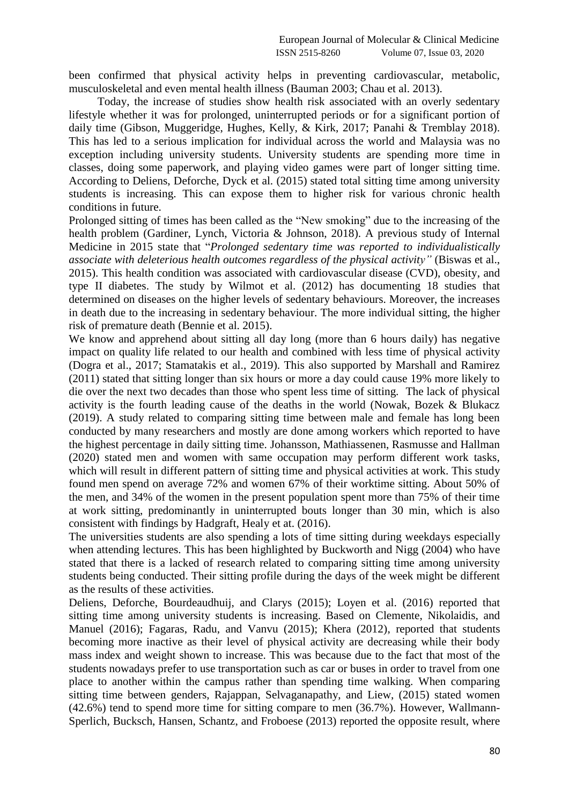been confirmed that physical activity helps in preventing cardiovascular, metabolic, musculoskeletal and even mental health illness (Bauman 2003; Chau et al. 2013).

 Today, the increase of studies show health risk associated with an overly sedentary lifestyle whether it was for prolonged, uninterrupted periods or for a significant portion of daily time (Gibson, Muggeridge, Hughes, Kelly, & Kirk, 2017; Panahi & Tremblay 2018). This has led to a serious implication for individual across the world and Malaysia was no exception including university students. University students are spending more time in classes, doing some paperwork, and playing video games were part of longer sitting time. According to Deliens, Deforche, Dyck et al. (2015) stated total sitting time among university students is increasing. This can expose them to higher risk for various chronic health conditions in future.

Prolonged sitting of times has been called as the "New smoking" due to the increasing of the health problem (Gardiner, Lynch, Victoria & Johnson, 2018). A previous study of Internal Medicine in 2015 state that "*Prolonged sedentary time was reported to individualistically associate with deleterious health outcomes regardless of the physical activity*" (Biswas et al., 2015). This health condition was associated with cardiovascular disease (CVD), obesity, and type II diabetes. The study by Wilmot et al. (2012) has documenting 18 studies that determined on diseases on the higher levels of sedentary behaviours. Moreover, the increases in death due to the increasing in sedentary behaviour. The more individual sitting, the higher risk of premature death (Bennie et al. 2015).

We know and apprehend about sitting all day long (more than 6 hours daily) has negative impact on quality life related to our health and combined with less time of physical activity (Dogra et al., 2017; Stamatakis et al., 2019). This also supported by Marshall and Ramirez (2011) stated that sitting longer than six hours or more a day could cause 19% more likely to die over the next two decades than those who spent less time of sitting. The lack of physical activity is the fourth leading cause of the deaths in the world (Nowak, Bozek & Blukacz (2019). A study related to comparing sitting time between male and female has long been conducted by many researchers and mostly are done among workers which reported to have the highest percentage in daily sitting time. Johansson, Mathiassenen, Rasmusse and Hallman (2020) stated men and women with same occupation may perform different work tasks, which will result in different pattern of sitting time and physical activities at work. This study found men spend on average 72% and women 67% of their worktime sitting. About 50% of the men, and 34% of the women in the present population spent more than 75% of their time at work sitting, predominantly in uninterrupted bouts longer than 30 min, which is also consistent with findings by Hadgraft, Healy et at. (2016).

The universities students are also spending a lots of time sitting during weekdays especially when attending lectures. This has been highlighted by Buckworth and Nigg (2004) who have stated that there is a lacked of research related to comparing sitting time among university students being conducted. Their sitting profile during the days of the week might be different as the results of these activities.

Deliens, Deforche, Bourdeaudhuij, and Clarys (2015); Loyen et al. (2016) reported that sitting time among university students is increasing. Based on Clemente, Nikolaidis, and Manuel (2016); Fagaras, Radu, and Vanvu (2015); Khera (2012), reported that students becoming more inactive as their level of physical activity are decreasing while their body mass index and weight shown to increase. This was because due to the fact that most of the students nowadays prefer to use transportation such as car or buses in order to travel from one place to another within the campus rather than spending time walking. When comparing sitting time between genders, Rajappan, Selvaganapathy, and Liew, (2015) stated women (42.6%) tend to spend more time for sitting compare to men (36.7%). However, Wallmann-Sperlich, Bucksch, Hansen, Schantz, and Froboese (2013) reported the opposite result, where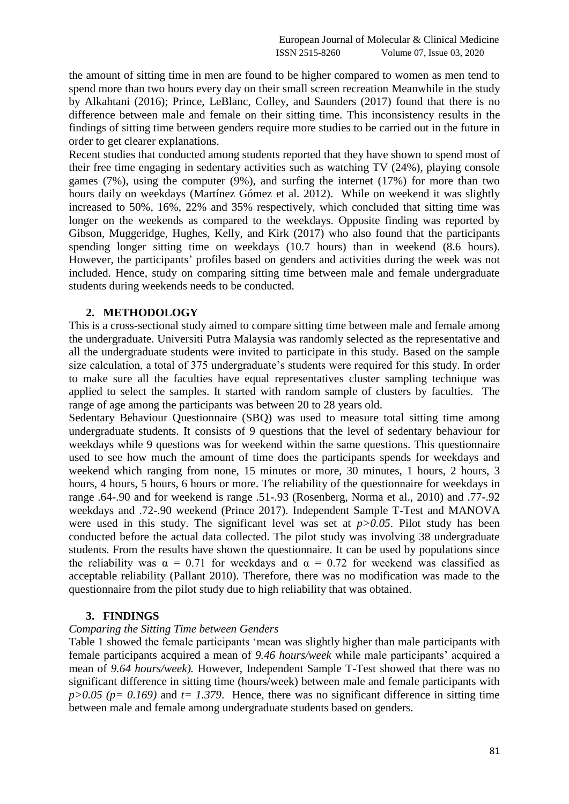the amount of sitting time in men are found to be higher compared to women as men tend to spend more than two hours every day on their small screen recreation Meanwhile in the study by Alkahtani (2016); Prince, LeBlanc, Colley, and Saunders (2017) found that there is no difference between male and female on their sitting time. This inconsistency results in the findings of sitting time between genders require more studies to be carried out in the future in order to get clearer explanations.

Recent studies that conducted among students reported that they have shown to spend most of their free time engaging in sedentary activities such as watching TV (24%), playing console games (7%), using the computer (9%), and surfing the internet (17%) for more than two hours daily on weekdays (Martínez Gómez et al. 2012). While on weekend it was slightly increased to 50%, 16%, 22% and 35% respectively, which concluded that sitting time was longer on the weekends as compared to the weekdays. Opposite finding was reported by Gibson, Muggeridge, Hughes, Kelly, and Kirk (2017) who also found that the participants spending longer sitting time on weekdays (10.7 hours) than in weekend (8.6 hours). However, the participants' profiles based on genders and activities during the week was not included. Hence, study on comparing sitting time between male and female undergraduate students during weekends needs to be conducted.

### **2. METHODOLOGY**

This is a cross-sectional study aimed to compare sitting time between male and female among the undergraduate. Universiti Putra Malaysia was randomly selected as the representative and all the undergraduate students were invited to participate in this study. Based on the sample size calculation, a total of 375 undergraduate's students were required for this study. In order to make sure all the faculties have equal representatives cluster sampling technique was applied to select the samples. It started with random sample of clusters by faculties. The range of age among the participants was between 20 to 28 years old.

Sedentary Behaviour Questionnaire (SBQ) was used to measure total sitting time among undergraduate students. It consists of 9 questions that the level of sedentary behaviour for weekdays while 9 questions was for weekend within the same questions. This questionnaire used to see how much the amount of time does the participants spends for weekdays and weekend which ranging from none, 15 minutes or more, 30 minutes, 1 hours, 2 hours, 3 hours, 4 hours, 5 hours, 6 hours or more. The reliability of the questionnaire for weekdays in range .64-.90 and for weekend is range .51-.93 (Rosenberg, Norma et al., 2010) and .77-.92 weekdays and .72-.90 weekend (Prince 2017). Independent Sample T-Test and MANOVA were used in this study. The significant level was set at *p>0.05*. Pilot study has been conducted before the actual data collected. The pilot study was involving 38 undergraduate students. From the results have shown the questionnaire. It can be used by populations since the reliability was  $\alpha = 0.71$  for weekdays and  $\alpha = 0.72$  for weekend was classified as acceptable reliability (Pallant 2010). Therefore, there was no modification was made to the questionnaire from the pilot study due to high reliability that was obtained.

#### **3. FINDINGS**

#### *Comparing the Sitting Time between Genders*

Table 1 showed the female participants "mean was slightly higher than male participants with female participants acquired a mean of 9.46 hours/week while male participants' acquired a mean of *9.64 hours/week).* However, Independent Sample T-Test showed that there was no significant difference in sitting time (hours/week) between male and female participants with  $p > 0.05$  ( $p = 0.169$ ) and  $t = 1.379$ . Hence, there was no significant difference in sitting time between male and female among undergraduate students based on genders.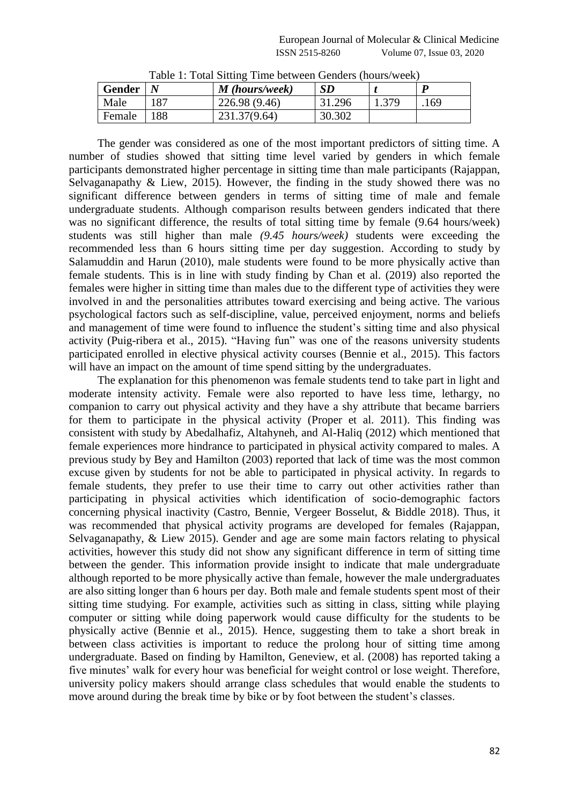| Gender |     | M (hours/week) | SD     |       |      |
|--------|-----|----------------|--------|-------|------|
| Male   | 187 | 226.98 (9.46)  | 31.296 | 1.379 | .169 |
| Female | 188 | 231.37(9.64)   | 30.302 |       |      |

Table 1: Total Sitting Time between Genders (hours/week)

 The gender was considered as one of the most important predictors of sitting time. A number of studies showed that sitting time level varied by genders in which female participants demonstrated higher percentage in sitting time than male participants (Rajappan, Selvaganapathy & Liew, 2015). However, the finding in the study showed there was no significant difference between genders in terms of sitting time of male and female undergraduate students. Although comparison results between genders indicated that there was no significant difference, the results of total sitting time by female (9.64 hours/week) students was still higher than male *(9.45 hours/week)* students were exceeding the recommended less than 6 hours sitting time per day suggestion. According to study by Salamuddin and Harun (2010), male students were found to be more physically active than female students. This is in line with study finding by Chan et al. (2019) also reported the females were higher in sitting time than males due to the different type of activities they were involved in and the personalities attributes toward exercising and being active. The various psychological factors such as self-discipline, value, perceived enjoyment, norms and beliefs and management of time were found to influence the student's sitting time and also physical activity (Puig-ribera et al., 2015). "Having fun" was one of the reasons university students participated enrolled in elective physical activity courses (Bennie et al., 2015). This factors will have an impact on the amount of time spend sitting by the undergraduates.

 The explanation for this phenomenon was female students tend to take part in light and moderate intensity activity. Female were also reported to have less time, lethargy, no companion to carry out physical activity and they have a shy attribute that became barriers for them to participate in the physical activity (Proper et al. 2011). This finding was consistent with study by Abedalhafiz, Altahyneh, and Al-Haliq (2012) which mentioned that female experiences more hindrance to participated in physical activity compared to males. A previous study by Bey and Hamilton (2003) reported that lack of time was the most common excuse given by students for not be able to participated in physical activity. In regards to female students, they prefer to use their time to carry out other activities rather than participating in physical activities which identification of socio-demographic factors concerning physical inactivity (Castro, Bennie, Vergeer Bosselut, & Biddle 2018). Thus, it was recommended that physical activity programs are developed for females (Rajappan, Selvaganapathy, & Liew 2015). Gender and age are some main factors relating to physical activities, however this study did not show any significant difference in term of sitting time between the gender. This information provide insight to indicate that male undergraduate although reported to be more physically active than female, however the male undergraduates are also sitting longer than 6 hours per day. Both male and female students spent most of their sitting time studying. For example, activities such as sitting in class, sitting while playing computer or sitting while doing paperwork would cause difficulty for the students to be physically active (Bennie et al., 2015). Hence, suggesting them to take a short break in between class activities is important to reduce the prolong hour of sitting time among undergraduate. Based on finding by Hamilton, Geneview, et al. (2008) has reported taking a five minutes' walk for every hour was beneficial for weight control or lose weight. Therefore, university policy makers should arrange class schedules that would enable the students to move around during the break time by bike or by foot between the student's classes.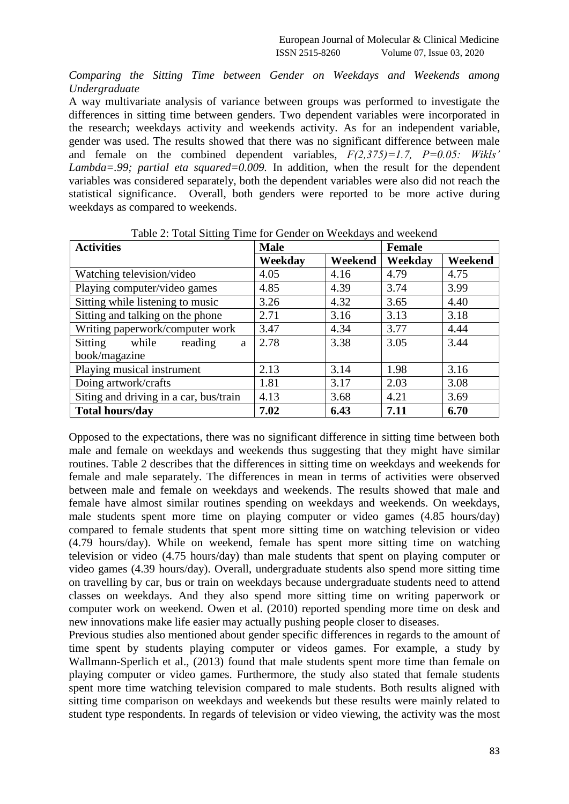*Comparing the Sitting Time between Gender on Weekdays and Weekends among Undergraduate*

A way multivariate analysis of variance between groups was performed to investigate the differences in sitting time between genders. Two dependent variables were incorporated in the research; weekdays activity and weekends activity. As for an independent variable, gender was used. The results showed that there was no significant difference between male and female on the combined dependent variables, *F(2,375)=1.7, P=0.05: Wikls' Lambda=.99; partial eta squared=0.009.* In addition, when the result for the dependent variables was considered separately, both the dependent variables were also did not reach the statistical significance. Overall, both genders were reported to be more active during weekdays as compared to weekends.

| <b>Activities</b>                      | <b>Male</b> |         | <b>Female</b> |         |
|----------------------------------------|-------------|---------|---------------|---------|
|                                        | Weekday     | Weekend | Weekday       | Weekend |
| Watching television/video              | 4.05        | 4.16    | 4.79          | 4.75    |
| Playing computer/video games           | 4.85        | 4.39    | 3.74          | 3.99    |
| Sitting while listening to music       | 3.26        | 4.32    | 3.65          | 4.40    |
| Sitting and talking on the phone       | 2.71        | 3.16    | 3.13          | 3.18    |
| Writing paperwork/computer work        | 3.47        | 4.34    | 3.77          | 4.44    |
| Sitting<br>while<br>reading<br>a       | 2.78        | 3.38    | 3.05          | 3.44    |
| book/magazine                          |             |         |               |         |
| Playing musical instrument             | 2.13        | 3.14    | 1.98          | 3.16    |
| Doing artwork/crafts                   | 1.81        | 3.17    | 2.03          | 3.08    |
| Siting and driving in a car, bus/train | 4.13        | 3.68    | 4.21          | 3.69    |
| <b>Total hours/day</b>                 | 7.02        | 6.43    | 7.11          | 6.70    |

Table 2: Total Sitting Time for Gender on Weekdays and weekend

Opposed to the expectations, there was no significant difference in sitting time between both male and female on weekdays and weekends thus suggesting that they might have similar routines. Table 2 describes that the differences in sitting time on weekdays and weekends for female and male separately. The differences in mean in terms of activities were observed between male and female on weekdays and weekends. The results showed that male and female have almost similar routines spending on weekdays and weekends. On weekdays, male students spent more time on playing computer or video games (4.85 hours/day) compared to female students that spent more sitting time on watching television or video (4.79 hours/day). While on weekend, female has spent more sitting time on watching television or video (4.75 hours/day) than male students that spent on playing computer or video games (4.39 hours/day). Overall, undergraduate students also spend more sitting time on travelling by car, bus or train on weekdays because undergraduate students need to attend classes on weekdays. And they also spend more sitting time on writing paperwork or computer work on weekend. Owen et al. (2010) reported spending more time on desk and new innovations make life easier may actually pushing people closer to diseases.

Previous studies also mentioned about gender specific differences in regards to the amount of time spent by students playing computer or videos games. For example, a study by Wallmann-Sperlich et al., (2013) found that male students spent more time than female on playing computer or video games. Furthermore, the study also stated that female students spent more time watching television compared to male students. Both results aligned with sitting time comparison on weekdays and weekends but these results were mainly related to student type respondents. In regards of television or video viewing, the activity was the most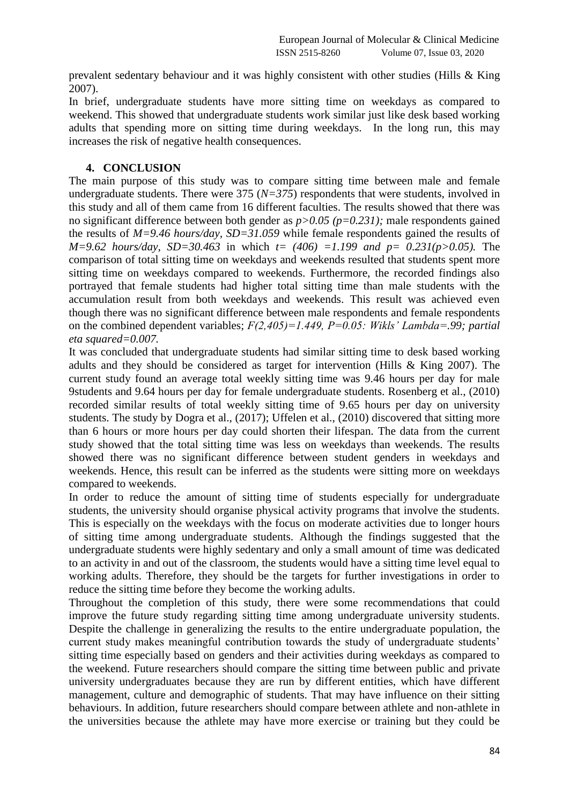prevalent sedentary behaviour and it was highly consistent with other studies (Hills & King 2007).

In brief, undergraduate students have more sitting time on weekdays as compared to weekend. This showed that undergraduate students work similar just like desk based working adults that spending more on sitting time during weekdays. In the long run, this may increases the risk of negative health consequences.

# **4. CONCLUSION**

The main purpose of this study was to compare sitting time between male and female undergraduate students. There were 375 (*N=375*) respondents that were students, involved in this study and all of them came from 16 different faculties. The results showed that there was no significant difference between both gender as *p>0.05 (p=0.231);* male respondents gained the results of *M=9.46 hours/day, SD=31.059* while female respondents gained the results of *M=9.62 hours/day, SD=30.463* in which *t= (406) =1.199 and p= 0.231(p>0.05).* The comparison of total sitting time on weekdays and weekends resulted that students spent more sitting time on weekdays compared to weekends. Furthermore, the recorded findings also portrayed that female students had higher total sitting time than male students with the accumulation result from both weekdays and weekends. This result was achieved even though there was no significant difference between male respondents and female respondents on the combined dependent variables; *F(2,405)=1.449, P=0.05: Wikls' Lambda=.99; partial eta squared=0.007.*

It was concluded that undergraduate students had similar sitting time to desk based working adults and they should be considered as target for intervention (Hills & King 2007). The current study found an average total weekly sitting time was 9.46 hours per day for male 9students and 9.64 hours per day for female undergraduate students. Rosenberg et al., (2010) recorded similar results of total weekly sitting time of 9.65 hours per day on university students. The study by Dogra et al., (2017); Uffelen et al., (2010) discovered that sitting more than 6 hours or more hours per day could shorten their lifespan. The data from the current study showed that the total sitting time was less on weekdays than weekends. The results showed there was no significant difference between student genders in weekdays and weekends. Hence, this result can be inferred as the students were sitting more on weekdays compared to weekends.

In order to reduce the amount of sitting time of students especially for undergraduate students, the university should organise physical activity programs that involve the students. This is especially on the weekdays with the focus on moderate activities due to longer hours of sitting time among undergraduate students. Although the findings suggested that the undergraduate students were highly sedentary and only a small amount of time was dedicated to an activity in and out of the classroom, the students would have a sitting time level equal to working adults. Therefore, they should be the targets for further investigations in order to reduce the sitting time before they become the working adults.

Throughout the completion of this study, there were some recommendations that could improve the future study regarding sitting time among undergraduate university students. Despite the challenge in generalizing the results to the entire undergraduate population, the current study makes meaningful contribution towards the study of undergraduate students' sitting time especially based on genders and their activities during weekdays as compared to the weekend. Future researchers should compare the sitting time between public and private university undergraduates because they are run by different entities, which have different management, culture and demographic of students. That may have influence on their sitting behaviours. In addition, future researchers should compare between athlete and non-athlete in the universities because the athlete may have more exercise or training but they could be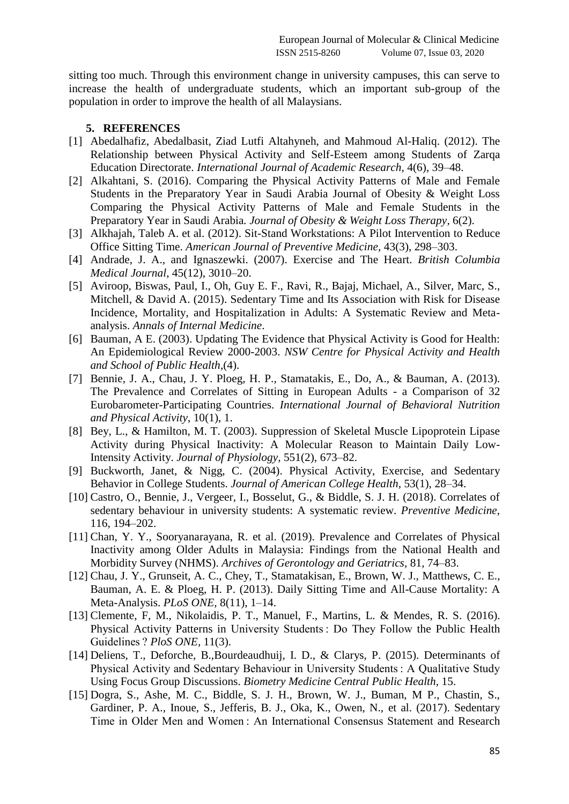sitting too much. Through this environment change in university campuses, this can serve to increase the health of undergraduate students, which an important sub-group of the population in order to improve the health of all Malaysians.

#### **5. REFERENCES**

- [1] Abedalhafiz, Abedalbasit, Ziad Lutfi Altahyneh, and Mahmoud Al-Haliq. (2012). The Relationship between Physical Activity and Self-Esteem among Students of Zarqa Education Directorate. *International Journal of Academic Research,* 4(6), 39–48.
- [2] Alkahtani, S. (2016). Comparing the Physical Activity Patterns of Male and Female Students in the Preparatory Year in Saudi Arabia Journal of Obesity & Weight Loss Comparing the Physical Activity Patterns of Male and Female Students in the Preparatory Year in Saudi Arabia*. Journal of Obesity & Weight Loss Therapy,* 6(2).
- [3] Alkhajah, Taleb A. et al. (2012). Sit-Stand Workstations: A Pilot Intervention to Reduce Office Sitting Time. *American Journal of Preventive Medicine,* 43(3), 298–303.
- [4] Andrade, J. A., and Ignaszewki. (2007). Exercise and The Heart. *British Columbia Medical Journal*, 45(12), 3010–20.
- [5] Aviroop, Biswas, Paul, I., Oh, Guy E. F., Ravi, R., Bajaj, Michael, A., Silver, Marc, S., Mitchell, & David A. (2015). Sedentary Time and Its Association with Risk for Disease Incidence, Mortality, and Hospitalization in Adults: A Systematic Review and Metaanalysis. *Annals of Internal Medicine*.
- [6] Bauman, A E. (2003). Updating The Evidence that Physical Activity is Good for Health: An Epidemiological Review 2000-2003. *NSW Centre for Physical Activity and Health and School of Public Health*,(4).
- [7] Bennie, J. A., Chau, J. Y. Ploeg, H. P., Stamatakis, E., Do, A., & Bauman, A. (2013). The Prevalence and Correlates of Sitting in European Adults - a Comparison of 32 Eurobarometer-Participating Countries. *International Journal of Behavioral Nutrition and Physical Activity*, 10(1), 1.
- [8] Bey, L., & Hamilton, M. T. (2003). Suppression of Skeletal Muscle Lipoprotein Lipase Activity during Physical Inactivity: A Molecular Reason to Maintain Daily Low-Intensity Activity. *Journal of Physiology,* 551(2), 673–82.
- [9] Buckworth, Janet, & Nigg, C. (2004). Physical Activity, Exercise, and Sedentary Behavior in College Students. *Journal of American College Health,* 53(1), 28–34.
- [10] Castro, O., Bennie, J., Vergeer, I., Bosselut, G., & Biddle, S. J. H. (2018). Correlates of sedentary behaviour in university students: A systematic review. *Preventive Medicine*, 116, 194–202.
- [11] Chan, Y. Y., Sooryanarayana, R. et al. (2019). Prevalence and Correlates of Physical Inactivity among Older Adults in Malaysia: Findings from the National Health and Morbidity Survey (NHMS). *Archives of Gerontology and Geriatrics,* 81, 74–83.
- [12] Chau, J. Y., Grunseit, A. C., Chey, T., Stamatakisan, E., Brown, W. J., Matthews, C. E., Bauman, A. E. & Ploeg, H. P. (2013). Daily Sitting Time and All-Cause Mortality: A Meta-Analysis. *PLoS ONE,* 8(11), 1–14.
- [13] Clemente, F, M., Nikolaidis, P. T., Manuel, F., Martins, L. & Mendes, R. S. (2016). Physical Activity Patterns in University Students : Do They Follow the Public Health Guidelines ? *PloS ONE,* 11(3).
- [14] Deliens, T., Deforche, B.,Bourdeaudhuij, I. D., & Clarys, P. (2015). Determinants of Physical Activity and Sedentary Behaviour in University Students : A Qualitative Study Using Focus Group Discussions. *Biometry Medicine Central Public Health*, 15.
- [15] Dogra, S., Ashe, M. C., Biddle, S. J. H., Brown, W. J., Buman, M P., Chastin, S., Gardiner, P. A., Inoue, S., Jefferis, B. J., Oka, K., Owen, N., et al. (2017). Sedentary Time in Older Men and Women : An International Consensus Statement and Research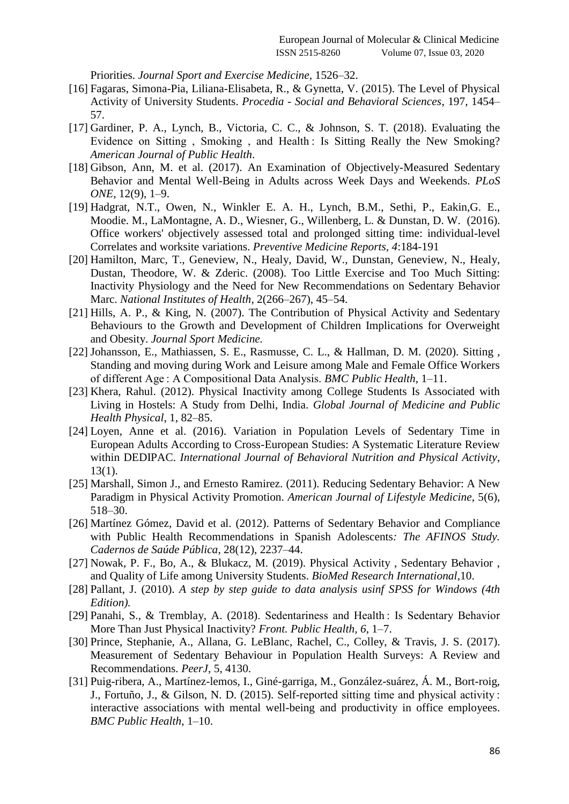Priorities. *Journal Sport and Exercise Medicine,* 1526–32.

- [16] Fagaras, Simona-Pia, Liliana-Elisabeta, R., & Gynetta, V. (2015). The Level of Physical Activity of University Students. *Procedia - Social and Behavioral Sciences*, 197, 1454– 57.
- [17] Gardiner, P. A., Lynch, B., Victoria, C. C., & Johnson, S. T. (2018). Evaluating the Evidence on Sitting , Smoking , and Health : Is Sitting Really the New Smoking? *American Journal of Public Health*.
- [18] Gibson, Ann, M. et al. (2017). An Examination of Objectively-Measured Sedentary Behavior and Mental Well-Being in Adults across Week Days and Weekends. *PLoS ONE,* 12(9), 1–9.
- [19] Hadgrat, N.T., Owen, N., Winkler E. A. H., Lynch, B.M., Sethi, P., Eakin,G. E., Moodie. M., LaMontagne, A. D., Wiesner, G., Willenberg, L. & Dunstan, D. W. (2016). Office workers' objectively assessed total and prolonged sitting time: individual-level Correlates and worksite variations. *Preventive Medicine Reports, 4*:184-191
- [20] Hamilton, Marc, T., Geneview, N., Healy, David, W., Dunstan, Geneview, N., Healy, Dustan, Theodore, W. & Zderic. (2008). Too Little Exercise and Too Much Sitting: Inactivity Physiology and the Need for New Recommendations on Sedentary Behavior Marc. *National Institutes of Health,* 2(266–267), 45–54.
- [21] Hills, A. P., & King, N. (2007). The Contribution of Physical Activity and Sedentary Behaviours to the Growth and Development of Children Implications for Overweight and Obesity. *Journal Sport Medicine.*
- [22] Johansson, E., Mathiassen, S. E., Rasmusse, C. L., & Hallman, D. M. (2020). Sitting , Standing and moving during Work and Leisure among Male and Female Office Workers of different Age : A Compositional Data Analysis. *BMC Public Health*, 1–11.
- [23] Khera, Rahul. (2012). Physical Inactivity among College Students Is Associated with Living in Hostels: A Study from Delhi, India. *Global Journal of Medicine and Public Health Physical*, 1, 82–85.
- [24] Loyen, Anne et al. (2016). Variation in Population Levels of Sedentary Time in European Adults According to Cross-European Studies: A Systematic Literature Review within DEDIPAC. *International Journal of Behavioral Nutrition and Physical Activity*, 13(1).
- [25] Marshall, Simon J., and Ernesto Ramirez. (2011). Reducing Sedentary Behavior: A New Paradigm in Physical Activity Promotion. *American Journal of Lifestyle Medicine*, 5(6), 518–30.
- [26] Martínez Gómez, David et al. (2012). Patterns of Sedentary Behavior and Compliance with Public Health Recommendations in Spanish Adolescents*: The AFINOS Study. Cadernos de Saúde Pública*, 28(12), 2237–44.
- [27] Nowak, P. F., Bo, A., & Blukacz, M. (2019). Physical Activity , Sedentary Behavior , and Quality of Life among University Students. *BioMed Research International*,10.
- [28] Pallant, J. (2010). *A step by step guide to data analysis usinf SPSS for Windows (4th Edition).*
- [29] Panahi, S., & Tremblay, A. (2018). Sedentariness and Health : Is Sedentary Behavior More Than Just Physical Inactivity? *Front. Public Health, 6*, 1–7.
- [30] Prince, Stephanie, A., Allana, G. LeBlanc, Rachel, C., Colley, & Travis, J. S. (2017). Measurement of Sedentary Behaviour in Population Health Surveys: A Review and Recommendations. *PeerJ*, 5, 4130.
- [31] Puig-ribera, A., Martínez-lemos, I., Giné-garriga, M., González-suárez, Á. M., Bort-roig, J., Fortuño, J., & Gilson, N. D. (2015). Self-reported sitting time and physical activity : interactive associations with mental well-being and productivity in office employees. *BMC Public Health*, 1–10.